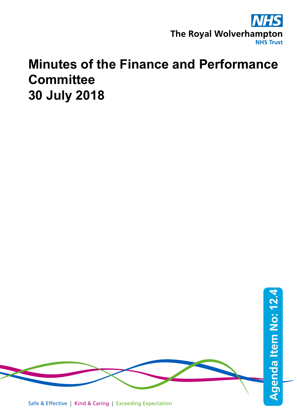

## **Minutes of the Finance and Performance Committee 30 July 2018**

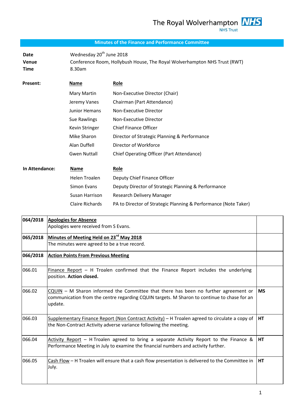## **Minutes of the Finance and Performance Committee**

Date Wednesday 20<sup>th</sup> June 2018 **Venue** Conference Room, Hollybush House, The Royal Wolverhampton NHS Trust (RWT) **Time** 8.30am

| Present:       | Name                 | Role                                                            |
|----------------|----------------------|-----------------------------------------------------------------|
|                | Mary Martin          | Non-Executive Director (Chair)                                  |
|                | Jeremy Vanes         | Chairman (Part Attendance)                                      |
|                | Junior Hemans        | Non-Executive Director                                          |
|                | Sue Rawlings         | Non-Executive Director                                          |
|                | Kevin Stringer       | <b>Chief Finance Officer</b>                                    |
|                | Mike Sharon          | Director of Strategic Planning & Performance                    |
|                | Alan Duffell         | Director of Workforce                                           |
|                | Gwen Nuttall         | Chief Operating Officer (Part Attendance)                       |
| In Attendance: | Name                 | Role                                                            |
|                | <b>Helen Troalen</b> | Deputy Chief Finance Officer                                    |
|                | Simon Evans          | Deputy Director of Strategic Planning & Performance             |
|                | Susan Harrison       | Research Delivery Manager                                       |
|                | Claire Richards      | PA to Director of Strategic Planning & Performance (Note Taker) |

| 064/2018 | <b>Apologies for Absence</b>                                                                                                                                                                  |           |
|----------|-----------------------------------------------------------------------------------------------------------------------------------------------------------------------------------------------|-----------|
|          | Apologies were received from S Evans.                                                                                                                                                         |           |
| 065/2018 | Minutes of Meeting Held on 23 <sup>rd</sup> May 2018                                                                                                                                          |           |
|          | The minutes were agreed to be a true record.                                                                                                                                                  |           |
| 066/2018 | <b>Action Points From Previous Meeting</b>                                                                                                                                                    |           |
| 066.01   | Finance Report - H Troalen confirmed that the Finance Report includes the underlying<br>position. Action closed.                                                                              |           |
| 066.02   | CQUIN - M Sharon informed the Committee that there has been no further agreement or<br>communication from the centre regarding CQUIN targets. M Sharon to continue to chase for an<br>update. | <b>MS</b> |
| 066.03   | Supplementary Finance Report (Non Contract Activity) - H Troalen agreed to circulate a copy of<br>the Non-Contract Activity adverse variance following the meeting.                           | <b>HT</b> |
| 066.04   | Activity Report - H Troalen agreed to bring a separate Activity Report to the Finance &<br>Performance Meeting in July to examine the financial numbers and activity further.                 | НT        |
| 066.05   | Cash Flow - H Troalen will ensure that a cash flow presentation is delivered to the Committee in<br>July.                                                                                     | НT        |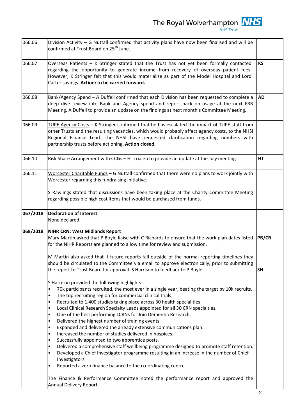| 066.06   | Division Activity $-$ G Nuttall confirmed that activity plans have now been finalised and will be<br>confirmed at Trust Board on 25 <sup>th</sup> June.                                                                                                                                                                                                                                                                                                                                                                                                                                                                                                                                                                                                                                                                                                                                                                                                                                                                                                                                                     |              |
|----------|-------------------------------------------------------------------------------------------------------------------------------------------------------------------------------------------------------------------------------------------------------------------------------------------------------------------------------------------------------------------------------------------------------------------------------------------------------------------------------------------------------------------------------------------------------------------------------------------------------------------------------------------------------------------------------------------------------------------------------------------------------------------------------------------------------------------------------------------------------------------------------------------------------------------------------------------------------------------------------------------------------------------------------------------------------------------------------------------------------------|--------------|
| 066.07   | Overseas Patients $-$ K Stringer stated that the Trust has not yet been formally contacted<br>regarding the opportunity to generate income from recovery of overseas patient fees.<br>However, K Stringer felt that this would materialise as part of the Model Hospital and Lord<br>Carter savings. Action: to be carried forward.                                                                                                                                                                                                                                                                                                                                                                                                                                                                                                                                                                                                                                                                                                                                                                         | <b>KS</b>    |
| 066.08   | Bank/Agency Spend - A Duffell confirmed that each Division has been requested to complete a<br>deep dive review into Bank and Agency spend and report back on usage at the next FRB<br>Meeting. A Duffell to provide an update on the findings at next month's Committee Meeting.                                                                                                                                                                                                                                                                                                                                                                                                                                                                                                                                                                                                                                                                                                                                                                                                                           | <b>AD</b>    |
| 066.09   | TUPE Agency Costs - K Stringer confirmed that he has escalated the impact of TUPE staff from<br>other Trusts and the resulting vacancies, which would probably affect agency costs, to the NHSI<br>Regional Finance Lead. The NHSI have requested clarification regarding numbers with<br>partnership trusts before actioning. Action closed.                                                                                                                                                                                                                                                                                                                                                                                                                                                                                                                                                                                                                                                                                                                                                               |              |
| 066.10   | Risk Share Arrangement with CCGs - H Troalen to provide an update at the July meeting.                                                                                                                                                                                                                                                                                                                                                                                                                                                                                                                                                                                                                                                                                                                                                                                                                                                                                                                                                                                                                      | HT           |
| 066.11   | Worcester Charitable Funds - G Nuttall confirmed that there were no plans to work jointly with<br>Worcester regarding this fundraising initiative.                                                                                                                                                                                                                                                                                                                                                                                                                                                                                                                                                                                                                                                                                                                                                                                                                                                                                                                                                          |              |
|          | S Rawlings stated that discussions have been taking place at the Charity Committee Meeting<br>regarding possible high cost items that would be purchased from funds.                                                                                                                                                                                                                                                                                                                                                                                                                                                                                                                                                                                                                                                                                                                                                                                                                                                                                                                                        |              |
| 067/2018 | <b>Declaration of Interest</b><br>None declared.                                                                                                                                                                                                                                                                                                                                                                                                                                                                                                                                                                                                                                                                                                                                                                                                                                                                                                                                                                                                                                                            |              |
| 068/2018 | <b>NIHR CRN: West Midlands Report</b><br>Mary Martin asked that P Boyle liaise with C Richards to ensure that the work plan dates listed<br>for the NIHR Reports are planned to allow time for review and submission.                                                                                                                                                                                                                                                                                                                                                                                                                                                                                                                                                                                                                                                                                                                                                                                                                                                                                       | <b>PB/CR</b> |
|          | M Martin also asked that if future reports fall outside of the normal reporting timelines they<br>should be circulated to the Committee via email to approve electronically, prior to submitting<br>the report to Trust Board for approval. S Harrison to feedback to P Boyle.                                                                                                                                                                                                                                                                                                                                                                                                                                                                                                                                                                                                                                                                                                                                                                                                                              | <b>SH</b>    |
|          | S Harrison provided the following highlights:<br>70k participants recruited, the most ever in a single year, beating the target by 10k recruits.<br>$\bullet$<br>The top recruiting region for commercial clinical trials.<br>$\bullet$<br>Recruited to 1,400 studies taking place across 30 health specialities.<br>$\bullet$<br>Local Clinical Research Specialty Leads appointed for all 30 CRN specialties.<br>$\bullet$<br>One of the best performing LCRNs for Join Dementia Research.<br>$\bullet$<br>Delivered the highest number of training events.<br>$\bullet$<br>Expanded and delivered the already extensive communications plan.<br>$\bullet$<br>Increased the number of studies delivered in hospices.<br>$\bullet$<br>Successfully appointed to two apprentice posts.<br>$\bullet$<br>Delivered a comprehensive staff wellbeing programme designed to promote staff retention.<br>$\bullet$<br>Developed a Chief Investigator programme resulting in an increase in the number of Chief<br>$\bullet$<br>Investigators<br>Reported a zero finance balance to the co-ordinating centre.<br>٠ |              |
|          | The Finance & Performance Committee noted the performance report and approved the<br>Annual Delivery Report.                                                                                                                                                                                                                                                                                                                                                                                                                                                                                                                                                                                                                                                                                                                                                                                                                                                                                                                                                                                                |              |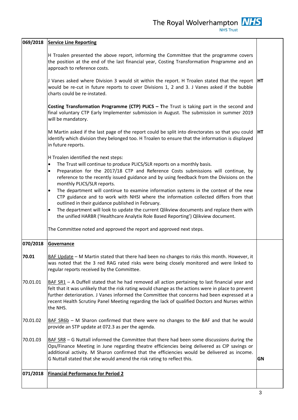The Royal Wolverhampton  $\frac{NHS}{NHS \text{ Trust}}$ 

|          | 069/2018 Service Line Reporting                                                                                                                                                                                                                                                                                                                                                                                                      |           |  |  |
|----------|--------------------------------------------------------------------------------------------------------------------------------------------------------------------------------------------------------------------------------------------------------------------------------------------------------------------------------------------------------------------------------------------------------------------------------------|-----------|--|--|
|          | H Troalen presented the above report, informing the Committee that the programme covers<br>the position at the end of the last financial year, Costing Transformation Programme and an<br>approach to reference costs.                                                                                                                                                                                                               |           |  |  |
|          | J Vanes asked where Division 3 would sit within the report. H Troalen stated that the report  HT<br>would be re-cut in future reports to cover Divisions 1, 2 and 3. J Vanes asked if the bubble<br>charts could be re-instated.                                                                                                                                                                                                     |           |  |  |
|          | Costing Transformation Programme (CTP) PLICS - The Trust is taking part in the second and<br>final voluntary CTP Early Implementer submission in August. The submission in summer 2019<br>will be mandatory.                                                                                                                                                                                                                         |           |  |  |
|          | M Martin asked if the last page of the report could be split into directorates so that you could<br>identify which division they belonged too. H Troalen to ensure that the information is displayed<br>in future reports.                                                                                                                                                                                                           | <b>HT</b> |  |  |
|          | H Troalen identified the next steps:<br>The Trust will continue to produce PLICS/SLR reports on a monthly basis.<br>$\bullet$<br>Preparation for the 2017/18 CTP and Reference Costs submissions will continue, by<br>$\bullet$<br>reference to the recently issued guidance and by using feedback from the Divisions on the<br>monthly PLICS/SLR reports.                                                                           |           |  |  |
|          | The department will continue to examine information systems in the context of the new<br>$\bullet$<br>CTP guidance and to work with NHSI where the information collected differs from that<br>outlined in their guidance published in February.<br>The department will look to update the current Qlikview documents and replace them with<br>٠<br>the unified HARBR ('Healthcare Analytix Role Based Reporting') Qlikview document. |           |  |  |
|          | The Committee noted and approved the report and approved next steps.                                                                                                                                                                                                                                                                                                                                                                 |           |  |  |
| 070/2018 | Governance                                                                                                                                                                                                                                                                                                                                                                                                                           |           |  |  |
| 70.01    | BAF Update - M Martin stated that there had been no changes to risks this month. However, it<br>was noted that the 3 red RAG rated risks were being closely monitored and were linked to<br>regular reports received by the Committee.                                                                                                                                                                                               |           |  |  |
| 70.01.01 | $BAF S R1 – A Duffell stated that he had removed all action pertaining to last financial year and$<br>felt that it was unlikely that the risk rating would change as the actions were in place to prevent<br>further deterioration. J Vanes informed the Committee that concerns had been expressed at a<br>recent Health Scrutiny Panel Meeting regarding the lack of qualified Doctors and Nurses within<br>the NHS.               |           |  |  |
| 70.01.02 | BAF SR6b - M Sharon confirmed that there were no changes to the BAF and that he would<br>provide an STP update at 072.3 as per the agenda.                                                                                                                                                                                                                                                                                           |           |  |  |
| 70.01.03 | $\underline{BAF}$ SR8 - G Nuttall informed the Committee that there had been some discussions during the<br>Ops/Finance Meeting in June regarding theatre efficiencies being delivered as CIP savings or<br>additional activity. M Sharon confirmed that the efficiencies would be delivered as income.<br>G Nuttall stated that she would amend the risk rating to reflect this.                                                    | <b>GN</b> |  |  |
| 071/2018 | <b>Financial Performance for Period 2</b>                                                                                                                                                                                                                                                                                                                                                                                            |           |  |  |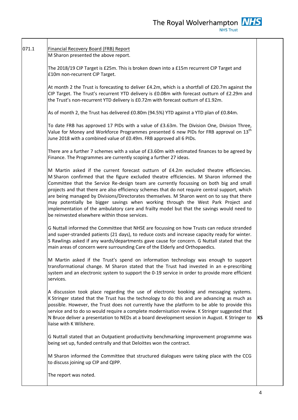## 071.1 Financial Recovery Board (FRB) Report M Sharon presented the above report.

The 2018/19 CIP Target is £25m. This is broken down into a £15m recurrent CIP Target and £10m non-recurrent CIP Target.

At month 2 the Trust is forecasting to deliver £4.2m, which is a shortfall of £20.7m against the CIP Target. The Trust's recurrent YTD delivery is £0.08m with forecast outturn of £2.29m and the Trust's non-recurrent YTD delivery is £0.72m with forecast outturn of £1.92m.

As of month 2, the Trust has delivered £0.80m (94.5%) YTD against a YTD plan of £0.84m.

To date FRB has approved 17 PIDs with a value of £3.63m. The Division One, Division Three, Value for Money and Workforce Programmes presented 6 new PIDs for FRB approval on  $13<sup>th</sup>$ June 2018 with a combined value of £0.49m. FRB approved all 6 PIDs.

There are a further 7 schemes with a value of £3.60m with estimated finances to be agreed by Finance. The Programmes are currently scoping a further 27 ideas.

M Martin asked if the current forecast outturn of £4.2m excluded theatre efficiencies. M Sharon confirmed that the figure excluded theatre efficiencies. M Sharon informed the Committee that the Service Re-design team are currently focussing on both big and small projects and that there are also efficiency schemes that do not require central support, which are being managed by Divisions/Directorates themselves. M Sharon went on to say that there may potentially be bigger savings when working through the West Park Project and implementation of the ambulatory care and frailty model but that the savings would need to be reinvested elsewhere within those services.

G Nuttall informed the Committee that NHSE are focussing on how Trusts can reduce stranded and super-stranded patients (21 days), to reduce costs and increase capacity ready for winter. S Rawlings asked if any wards/departments gave cause for concern. G Nuttall stated that the main areas of concern were surrounding Care of the Elderly and Orthopaedics.

M Martin asked if the Trust's spend on information technology was enough to support transformational change. M Sharon stated that the Trust had invested in an e-prescribing system and an electronic system to support the 0-19 service in order to provide more efficient services.

A discussion took place regarding the use of electronic booking and messaging systems. K Stringer stated that the Trust has the technology to do this and are advancing as much as possible. However, the Trust does not currently have the platform to be able to provide this service and to do so would require a complete modernisation review. K Stringer suggested that N Bruce deliver a presentation to NEDs at a board development session in August. K Stringer to liaise with K Wilshere.

**KS**

G Nuttall stated that an Outpatient productivity benchmarking improvement programme was being set up, funded centrally and that Deloittes won the contract.

M Sharon informed the Committee that structured dialogues were taking place with the CCG to discuss joining up CIP and QIPP.

The report was noted.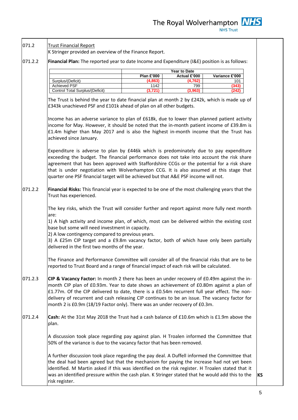The Royal Wolverhampton **NHS NHS Trust** 

071.2.2 071.2.2 071.2.3 071.2.4 K Stringer provided an overview of the Finance Report. **Financial Plan:** The reported year to date Income and Expenditure (I&E) position is as follows: The Trust is behind the year to date financial plan at month 2 by £242k, which is made up of £343k unachieved PSF and £101k ahead of plan on all other budgets. Income has an adverse variance to plan of £618k, due to lower than planned patient activity income for May. However, it should be noted that the in-month patient income of £39.8m is £1.4m higher than May 2017 and is also the highest in-month income that the Trust has achieved since January. Expenditure is adverse to plan by £446k which is predominately due to pay expenditure exceeding the budget. The financial performance does not take into account the risk share agreement that has been approved with Staffordshire CCGs or the potential for a risk share that is under negotiation with Wolverhampton CCG. It is also assumed at this stage that quarter one PSF financial target will be achieved but that A&E PSF income will not. **Financial Risks:** This financial year is expected to be one of the most challenging years that the Trust has experienced. The key risks, which the Trust will consider further and report against more fully next month are: 1) A high activity and income plan, of which, most can be delivered within the existing cost base but some will need investment in capacity. 2) A low contingency compared to previous years. 3) A £25m CIP target and a £9.8m vacancy factor, both of which have only been partially delivered in the first two months of the year. The Finance and Performance Committee will consider all of the financial risks that are to be reported to Trust Board and a range of financial impact of each risk will be calculated. **CIP & Vacancy Factor:** In month 2 there has been an under recovery of £0.49m against the inmonth CIP plan of £0.93m. Year to date shows an achievement of £0.80m against a plan of £1.77m. Of the CIP delivered to date, there is a £0.54m recurrent full year effect. The nondelivery of recurrent and cash releasing CIP continues to be an issue. The vacancy factor for month 2 is £0.9m (18/19 Factor only). There was an under recovery of £0.3m. **Cash:** At the 31st May 2018 the Trust had a cash balance of £10.6m which is £1.9m above the plan. A discussion took place regarding pay against plan. H Troalen informed the Committee that 50% of the variance is due to the vacancy factor that has been removed. A further discussion took place regarding the pay deal. A Duffell informed the Committee that the deal had been agreed but that the mechanism for paying the increase had not yet been identified. M Martin asked if this was identified on the risk register. H Troalen stated that it was an identified pressure within the cash plan. K Stringer stated that he would add this to the risk register. **Year to Date Plan £'000 Actual £'000 Variance £'000** Surplus/(Deficit) **(4,863) (4,762)** 101 Achieved PSF 1142 799 **(343)** Control Total Surplus/(Deficit) **(3,721) (3,963) (242)**

071.2

Trust Financial Report

**KS**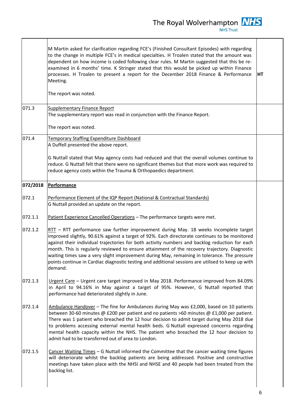|          | M Martin asked for clarification regarding FCE's (Finished Consultant Episodes) with regarding<br>to the change in multiple FCE's in medical specialties. H Troalen stated that the amount was<br>dependent on how income is coded following clear rules. M Martin suggested that this be re-<br>examined in 6 months' time. K Stringer stated that this would be picked up within Finance<br>processes. H Troalen to present a report for the December 2018 Finance & Performance<br>Meeting.<br>The report was noted.                                                                                     | HT |
|----------|-------------------------------------------------------------------------------------------------------------------------------------------------------------------------------------------------------------------------------------------------------------------------------------------------------------------------------------------------------------------------------------------------------------------------------------------------------------------------------------------------------------------------------------------------------------------------------------------------------------|----|
| 071.3    | Supplementary Finance Report<br>The supplementary report was read in conjunction with the Finance Report.                                                                                                                                                                                                                                                                                                                                                                                                                                                                                                   |    |
|          | The report was noted.                                                                                                                                                                                                                                                                                                                                                                                                                                                                                                                                                                                       |    |
| 071.4    | Temporary Staffing Expenditure Dashboard<br>A Duffell presented the above report.                                                                                                                                                                                                                                                                                                                                                                                                                                                                                                                           |    |
|          | G Nuttall stated that May agency costs had reduced and that the overall volumes continue to<br>reduce. G Nuttall felt that there were no significant themes but that more work was required to<br>reduce agency costs within the Trauma & Orthopaedics department.                                                                                                                                                                                                                                                                                                                                          |    |
| 072/2018 | Performance                                                                                                                                                                                                                                                                                                                                                                                                                                                                                                                                                                                                 |    |
| 072.1    | Performance Element of the IQP Report (National & Contractual Standards)<br>G Nuttall provided an update on the report.                                                                                                                                                                                                                                                                                                                                                                                                                                                                                     |    |
| 072.1.1  | Patient Experience Cancelled Operations - The performance targets were met.                                                                                                                                                                                                                                                                                                                                                                                                                                                                                                                                 |    |
| 072.1.2  | $RTT$ – RTT performance saw further improvement during May. 18 weeks incomplete target<br>improved slightly, 90.61% against a target of 92%. Each directorate continues to be monitored<br>against their individual trajectories for both activity numbers and backlog reduction for each<br>month. This is regularly reviewed to ensure attainment of the recovery trajectory. Diagnostic<br>waiting times saw a very slight improvement during May, remaining in tolerance. The pressure<br>points continue in Cardiac diagnostic testing and additional sessions are utilised to keep up with<br>demand. |    |
| 072.1.3  | Urgent Care - Urgent care target improved in May 2018. Performance improved from 84.09%<br>in April to 94.16% in May against a target of 95%. However, G Nuttall reported that<br>performance had deteriorated slightly in June.                                                                                                                                                                                                                                                                                                                                                                            |    |
| 072.1.4  | Ambulance Handover - The fine for Ambulances during May was £2,000, based on 10 patients<br>between 30-60 minutes @ £200 per patient and no patients >60 minutes @ £1,000 per patient.<br>There was 1 patient who breached the 12 hour decision to admit target during May 2018 due<br>to problems accessing external mental health beds. G Nuttall expressed concerns regarding<br>mental health capacity within the NHS. The patient who breached the 12 hour decision to<br>admit had to be transferred out of area to London.                                                                           |    |
| 072.1.5  | Cancer Waiting Times - G Nuttall informed the Committee that the cancer waiting time figures<br>will deteriorate whilst the backlog patients are being addressed. Positive and constructive<br>meetings have taken place with the NHSI and NHSE and 40 people had been treated from the<br>backlog list.                                                                                                                                                                                                                                                                                                    |    |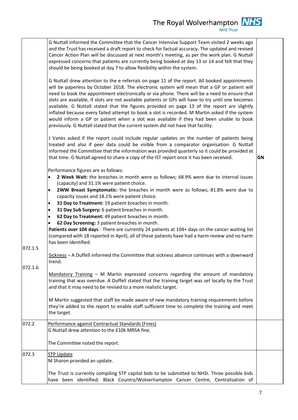| 072.2<br>Performance against Contractual Standards (Fines)<br>G Nuttall drew attention to the £10k MRSA fine.                                                                                                                                      | 072.1.5<br>072.1.6 | G Nuttall informed the Committee that the Cancer Intensive Support Team visited 2 weeks ago<br>and the Trust has received a draft report to check for factual accuracy. The updated and revised<br>Cancer Action Plan will be discussed at next month's meeting, as per the work plan. G Nuttall<br>expressed concerns that patients are currently being booked at day 13 or 14 and felt that they<br>should be being booked at day 7 to allow flexibility within the system.<br>G Nuttall drew attention to the e-referrals on page 11 of the report. All booked appointments<br>will be paperless by October 2018. The electronic system will mean that a GP or patient will<br>need to book the appointment electronically or via phone. There will be a need to ensure that<br>slots are available, if slots are not available patients or GPs will have to try until one becomes<br>available. G Nuttall stated that the figures provided on page 13 of the report are slightly<br>inflated because every failed attempt to book a slot is recorded. M Martin asked if the system<br>would inform a GP or patient when a slot was available if they had been unable to book<br>previously. G Nuttall stated that the current system did not have that facility.<br>J Vanes asked if the report could include regular updates on the number of patients being<br>treated and also if peer data could be visible from a comparator organisation. G Nuttall<br>informed the Committee that the information was provided quarterly so it could be provided at<br>that time. G Nuttall agreed to share a copy of the IST report once it has been received.<br>Performance figures are as follows:<br>2 Week Wait: the breaches in month were as follows; 68.9% were due to internal issues<br>$\bullet$<br>(capacity) and 31.1% were patient choice.<br>2WW Breast Symptomatic: the breaches in month were as follows; 81.8% were due to<br>capacity issues and 18.1% were patient choice.<br>31 Day to Treatment: 19 patient breaches in month.<br>$\bullet$<br>31 Day Sub Surgery: 6 patient breaches in month.<br>$\bullet$<br>62 Day to Treatment: 49 patient breaches in month.<br>$\bullet$<br>62 Day Screening: 3 patient breaches in month.<br>$\bullet$<br>Patients over 104 days - There are currently 24 patients at 104+ days on the cancer waiting list<br>(compared with 18 reported in April), all of these patients have had a harm review and no harm<br>has been identified.<br>Sickness - A Duffell informed the Committee that sickness absence continues with a downward<br>trend.<br>Mandatory Training - M Martin expressed concerns regarding the amount of mandatory<br>training that was overdue. A Duffell stated that the training target was set locally by the Trust<br>and that it may need to be revised to a more realistic target.<br>M Martin suggested that staff be made aware of new mandatory training requirements before<br>they're added to the report to enable staff sufficient time to complete the training and meet<br>the target. | GN |
|----------------------------------------------------------------------------------------------------------------------------------------------------------------------------------------------------------------------------------------------------|--------------------|-----------------------------------------------------------------------------------------------------------------------------------------------------------------------------------------------------------------------------------------------------------------------------------------------------------------------------------------------------------------------------------------------------------------------------------------------------------------------------------------------------------------------------------------------------------------------------------------------------------------------------------------------------------------------------------------------------------------------------------------------------------------------------------------------------------------------------------------------------------------------------------------------------------------------------------------------------------------------------------------------------------------------------------------------------------------------------------------------------------------------------------------------------------------------------------------------------------------------------------------------------------------------------------------------------------------------------------------------------------------------------------------------------------------------------------------------------------------------------------------------------------------------------------------------------------------------------------------------------------------------------------------------------------------------------------------------------------------------------------------------------------------------------------------------------------------------------------------------------------------------------------------------------------------------------------------------------------------------------------------------------------------------------------------------------------------------------------------------------------------------------------------------------------------------------------------------------------------------------------------------------------------------------------------------------------------------------------------------------------------------------------------------------------------------------------------------------------------------------------------------------------------------------------------------------------------------------------------------------------------------------------------------------------------------------------------------------------------------------------------------------------------------------------------------------------------------------------------------------------------------------------------------------------------------------------------------------------------------------------------------------------------------------------------------------------------------------------|----|
|                                                                                                                                                                                                                                                    |                    |                                                                                                                                                                                                                                                                                                                                                                                                                                                                                                                                                                                                                                                                                                                                                                                                                                                                                                                                                                                                                                                                                                                                                                                                                                                                                                                                                                                                                                                                                                                                                                                                                                                                                                                                                                                                                                                                                                                                                                                                                                                                                                                                                                                                                                                                                                                                                                                                                                                                                                                                                                                                                                                                                                                                                                                                                                                                                                                                                                                                                                                                                   |    |
|                                                                                                                                                                                                                                                    |                    | The Committee noted the report.                                                                                                                                                                                                                                                                                                                                                                                                                                                                                                                                                                                                                                                                                                                                                                                                                                                                                                                                                                                                                                                                                                                                                                                                                                                                                                                                                                                                                                                                                                                                                                                                                                                                                                                                                                                                                                                                                                                                                                                                                                                                                                                                                                                                                                                                                                                                                                                                                                                                                                                                                                                                                                                                                                                                                                                                                                                                                                                                                                                                                                                   |    |
| 072.3<br><b>STP Update</b><br>M Sharon provided an update.<br>The Trust is currently compiling STP capital bids to be submitted to NHSI. Three possible bids<br>have been identified; Black Country/Wolverhampton Cancer Centre, Centralisation of |                    |                                                                                                                                                                                                                                                                                                                                                                                                                                                                                                                                                                                                                                                                                                                                                                                                                                                                                                                                                                                                                                                                                                                                                                                                                                                                                                                                                                                                                                                                                                                                                                                                                                                                                                                                                                                                                                                                                                                                                                                                                                                                                                                                                                                                                                                                                                                                                                                                                                                                                                                                                                                                                                                                                                                                                                                                                                                                                                                                                                                                                                                                                   |    |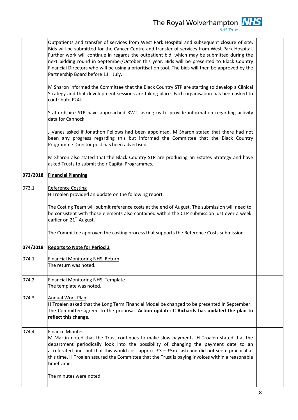|          | Outpatients and transfer of services from West Park Hospital and subsequent closure of site.<br>Bids will be submitted for the Cancer Centre and transfer of services from West Park Hospital.<br>Further work will continue in regards the outpatient bid, which may be submitted during the<br>next bidding round in September/October this year. Bids will be presented to Black Country<br>Financial Directors who will be using a prioritisation tool. The bids will then be approved by the<br>Partnership Board before 11 <sup>th</sup> July. |  |
|----------|------------------------------------------------------------------------------------------------------------------------------------------------------------------------------------------------------------------------------------------------------------------------------------------------------------------------------------------------------------------------------------------------------------------------------------------------------------------------------------------------------------------------------------------------------|--|
|          | M Sharon informed the Committee that the Black Country STP are starting to develop a Clinical<br>Strategy and that development sessions are taking place. Each organisation has been asked to<br>contribute £24k.                                                                                                                                                                                                                                                                                                                                    |  |
|          | Staffordshire STP have approached RWT, asking us to provide information regarding activity<br>data for Cannock.                                                                                                                                                                                                                                                                                                                                                                                                                                      |  |
|          | J Vanes asked if Jonathon Fellows had been appointed. M Sharon stated that there had not<br>been any progress regarding this but informed the Committee that the Black Country<br>Programme Director post has been advertised.                                                                                                                                                                                                                                                                                                                       |  |
|          | M Sharon also stated that the Black Country STP are producing an Estates Strategy and have<br>asked Trusts to submit their Capital Programmes.                                                                                                                                                                                                                                                                                                                                                                                                       |  |
| 073/2018 | <b>Financial Planning</b>                                                                                                                                                                                                                                                                                                                                                                                                                                                                                                                            |  |
| 073.1    | <b>Reference Costing</b><br>H Troalen provided an update on the following report.                                                                                                                                                                                                                                                                                                                                                                                                                                                                    |  |
|          | The Costing Team will submit reference costs at the end of August. The submission will need to<br>be consistent with those elements also contained within the CTP submission just over a week<br>earlier on 21 <sup>st</sup> August.                                                                                                                                                                                                                                                                                                                 |  |
|          | The Committee approved the costing process that supports the Reference Costs submission.                                                                                                                                                                                                                                                                                                                                                                                                                                                             |  |
| 074/2018 | <b>Reports to Note for Period 2</b>                                                                                                                                                                                                                                                                                                                                                                                                                                                                                                                  |  |
| 074.1    | <b>Financial Monitoring NHSi Return</b><br>The return was noted.                                                                                                                                                                                                                                                                                                                                                                                                                                                                                     |  |
| 074.2    | <b>Financial Monitoring NHSi Template</b><br>The template was noted.                                                                                                                                                                                                                                                                                                                                                                                                                                                                                 |  |
| 074.3    | Annual Work Plan<br>H Troalen asked that the Long Term Financial Model be changed to be presented in September.<br>The Committee agreed to the proposal. Action update: C Richards has updated the plan to<br>reflect this change.                                                                                                                                                                                                                                                                                                                   |  |
| 074.4    | <b>Finance Minutes</b><br>M Martin noted that the Trust continues to make slow payments. H Troalen stated that the<br>department periodically look into the possibility of changing the payment date to an<br>accelerated one, but that this would cost approx. $E3 - E5m$ cash and did not seem practical at<br>this time. H Troalen assured the Committee that the Trust is paying invoices within a reasonable<br>timeframe.                                                                                                                      |  |
|          | The minutes were noted.                                                                                                                                                                                                                                                                                                                                                                                                                                                                                                                              |  |